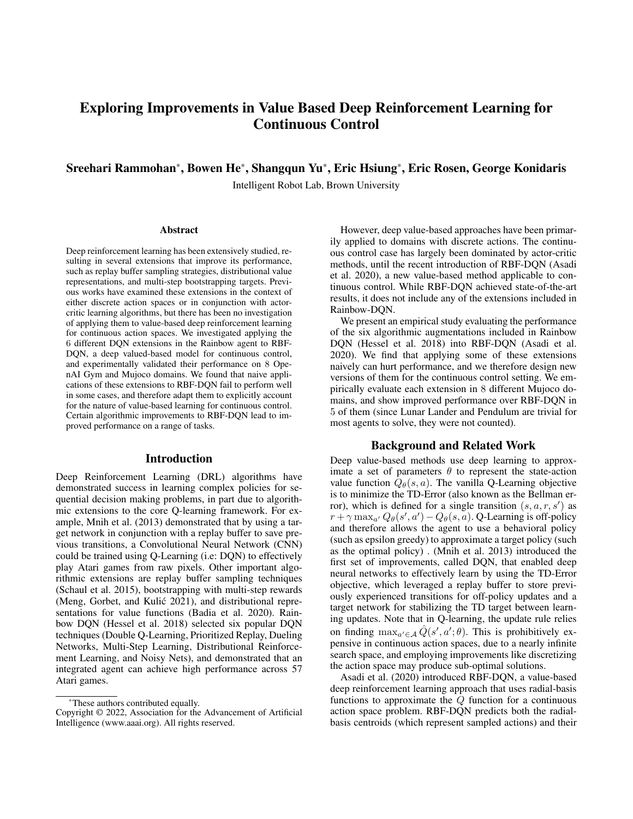# Exploring Improvements in Value Based Deep Reinforcement Learning for Continuous Control

# Sreehari Rammohan\*, Bowen He\*, Shangqun Yu\*, Eric Hsiung\*, Eric Rosen, George Konidaris

Intelligent Robot Lab, Brown University

#### Abstract

Deep reinforcement learning has been extensively studied, resulting in several extensions that improve its performance, such as replay buffer sampling strategies, distributional value representations, and multi-step bootstrapping targets. Previous works have examined these extensions in the context of either discrete action spaces or in conjunction with actorcritic learning algorithms, but there has been no investigation of applying them to value-based deep reinforcement learning for continuous action spaces. We investigated applying the 6 different DQN extensions in the Rainbow agent to RBF-DQN, a deep valued-based model for continuous control, and experimentally validated their performance on 8 OpenAI Gym and Mujoco domains. We found that naive applications of these extensions to RBF-DQN fail to perform well in some cases, and therefore adapt them to explicitly account for the nature of value-based learning for continuous control. Certain algorithmic improvements to RBF-DQN lead to improved performance on a range of tasks.

### Introduction

Deep Reinforcement Learning (DRL) algorithms have demonstrated success in learning complex policies for sequential decision making problems, in part due to algorithmic extensions to the core Q-learning framework. For example, Mnih et al. (2013) demonstrated that by using a target network in conjunction with a replay buffer to save previous transitions, a Convolutional Neural Network (CNN) could be trained using Q-Learning (i.e: DQN) to effectively play Atari games from raw pixels. Other important algorithmic extensions are replay buffer sampling techniques (Schaul et al. 2015), bootstrapping with multi-step rewards (Meng, Gorbet, and Kulić 2021), and distributional representations for value functions (Badia et al. 2020). Rainbow DQN (Hessel et al. 2018) selected six popular DQN techniques (Double Q-Learning, Prioritized Replay, Dueling Networks, Multi-Step Learning, Distributional Reinforcement Learning, and Noisy Nets), and demonstrated that an integrated agent can achieve high performance across 57 Atari games.

However, deep value-based approaches have been primarily applied to domains with discrete actions. The continuous control case has largely been dominated by actor-critic methods, until the recent introduction of RBF-DQN (Asadi et al. 2020), a new value-based method applicable to continuous control. While RBF-DQN achieved state-of-the-art results, it does not include any of the extensions included in Rainbow-DQN.

We present an empirical study evaluating the performance of the six algorithmic augmentations included in Rainbow DQN (Hessel et al. 2018) into RBF-DQN (Asadi et al. 2020). We find that applying some of these extensions naively can hurt performance, and we therefore design new versions of them for the continuous control setting. We empirically evaluate each extension in 8 different Mujoco domains, and show improved performance over RBF-DQN in 5 of them (since Lunar Lander and Pendulum are trivial for most agents to solve, they were not counted).

## Background and Related Work

Deep value-based methods use deep learning to approximate a set of parameters  $\theta$  to represent the state-action value function  $Q_{\theta}(s, a)$ . The vanilla Q-Learning objective is to minimize the TD-Error (also known as the Bellman error), which is defined for a single transition  $(s, a, r, s')$  as  $r + \gamma \max_{a'} Q_{\theta}(s', a') - Q_{\theta}(s, a)$ . Q-Learning is off-policy and therefore allows the agent to use a behavioral policy (such as epsilon greedy) to approximate a target policy (such as the optimal policy) . (Mnih et al. 2013) introduced the first set of improvements, called DQN, that enabled deep neural networks to effectively learn by using the TD-Error objective, which leveraged a replay buffer to store previously experienced transitions for off-policy updates and a target network for stabilizing the TD target between learning updates. Note that in Q-learning, the update rule relies on finding  $\max_{a' \in A} \hat{Q}(s', a'; \theta)$ . This is prohibitively expensive in continuous action spaces, due to a nearly infinite search space, and employing improvements like discretizing the action space may produce sub-optimal solutions.

Asadi et al. (2020) introduced RBF-DQN, a value-based deep reinforcement learning approach that uses radial-basis functions to approximate the  $Q$  function for a continuous action space problem. RBF-DQN predicts both the radialbasis centroids (which represent sampled actions) and their

<sup>\*</sup>These authors contributed equally.

Copyright © 2022, Association for the Advancement of Artificial Intelligence (www.aaai.org). All rights reserved.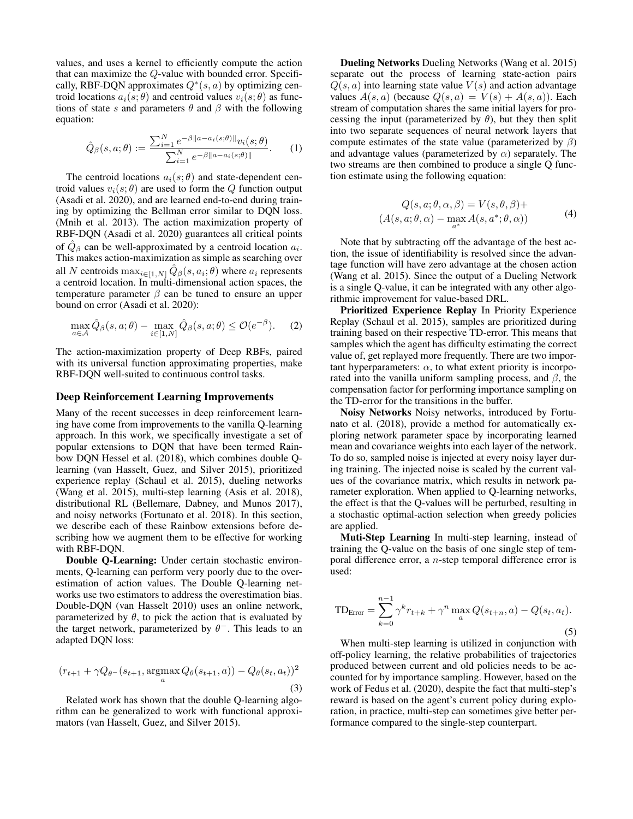values, and uses a kernel to efficiently compute the action that can maximize the Q-value with bounded error. Specifically, RBF-DQN approximates  $Q^*(s, a)$  by optimizing centroid locations  $a_i(s; \theta)$  and centroid values  $v_i(s; \theta)$  as functions of state s and parameters  $\theta$  and  $\beta$  with the following equation:

$$
\hat{Q}_{\beta}(s, a; \theta) := \frac{\sum_{i=1}^{N} e^{-\beta ||a - a_i(s; \theta)||} v_i(s; \theta)}{\sum_{i=1}^{N} e^{-\beta ||a - a_i(s; \theta)||}}.
$$
 (1)

The centroid locations  $a_i(s; \theta)$  and state-dependent centroid values  $v_i(s; \theta)$  are used to form the Q function output (Asadi et al. 2020), and are learned end-to-end during training by optimizing the Bellman error similar to DQN loss. (Mnih et al. 2013). The action maximization property of RBF-DQN (Asadi et al. 2020) guarantees all critical points of  $\hat{Q}_{\beta}$  can be well-approximated by a centroid location  $a_i$ . This makes action-maximization as simple as searching over all N centroids  $\max_{i \in [1,N]} \hat{Q}_{\beta}(s, a_i; \theta)$  where  $a_i$  represents a centroid location. In multi-dimensional action spaces, the temperature parameter  $\beta$  can be tuned to ensure an upper bound on error (Asadi et al. 2020):

$$
\max_{a \in \mathcal{A}} \hat{Q}_{\beta}(s, a; \theta) - \max_{i \in [1, N]} \hat{Q}_{\beta}(s, a; \theta) \le \mathcal{O}(e^{-\beta}).
$$
 (2)

The action-maximization property of Deep RBFs, paired with its universal function approximating properties, make RBF-DQN well-suited to continuous control tasks.

#### Deep Reinforcement Learning Improvements

Many of the recent successes in deep reinforcement learning have come from improvements to the vanilla Q-learning approach. In this work, we specifically investigate a set of popular extensions to DQN that have been termed Rainbow DQN Hessel et al. (2018), which combines double Qlearning (van Hasselt, Guez, and Silver 2015), prioritized experience replay (Schaul et al. 2015), dueling networks (Wang et al. 2015), multi-step learning (Asis et al. 2018), distributional RL (Bellemare, Dabney, and Munos 2017), and noisy networks (Fortunato et al. 2018). In this section, we describe each of these Rainbow extensions before describing how we augment them to be effective for working with RBF-DQN.

Double Q-Learning: Under certain stochastic environments, Q-learning can perform very poorly due to the overestimation of action values. The Double Q-learning networks use two estimators to address the overestimation bias. Double-DQN (van Hasselt 2010) uses an online network, parameterized by  $\theta$ , to pick the action that is evaluated by the target network, parameterized by  $\theta^-$ . This leads to an adapted DQN loss:

$$
(r_{t+1} + \gamma Q_{\theta^{-}}(s_{t+1}, \underset{a}{\operatorname{argmax}} Q_{\theta}(s_{t+1}, a)) - Q_{\theta}(s_t, a_t))^2
$$
\n(3)

Related work has shown that the double Q-learning algorithm can be generalized to work with functional approximators (van Hasselt, Guez, and Silver 2015).

Dueling Networks Dueling Networks (Wang et al. 2015) separate out the process of learning state-action pairs  $Q(s, a)$  into learning state value  $V(s)$  and action advantage values  $A(s, a)$  (because  $Q(s, a) = V(s) + A(s, a)$ ). Each stream of computation shares the same initial layers for processing the input (parameterized by  $\theta$ ), but they then split into two separate sequences of neural network layers that compute estimates of the state value (parameterized by  $\beta$ ) and advantage values (parameterized by  $\alpha$ ) separately. The two streams are then combined to produce a single Q function estimate using the following equation:

$$
Q(s, a; \theta, \alpha, \beta) = V(s, \theta, \beta) +
$$
  

$$
(A(s, a; \theta, \alpha) - \max_{a^*} A(s, a^*; \theta, \alpha))
$$
 (4)

Note that by subtracting off the advantage of the best action, the issue of identifiability is resolved since the advantage function will have zero advantage at the chosen action (Wang et al. 2015). Since the output of a Dueling Network is a single Q-value, it can be integrated with any other algorithmic improvement for value-based DRL.

Prioritized Experience Replay In Priority Experience Replay (Schaul et al. 2015), samples are prioritized during training based on their respective TD-error. This means that samples which the agent has difficulty estimating the correct value of, get replayed more frequently. There are two important hyperparameters:  $\alpha$ , to what extent priority is incorporated into the vanilla uniform sampling process, and  $\beta$ , the compensation factor for performing importance sampling on the TD-error for the transitions in the buffer.

Noisy Networks Noisy networks, introduced by Fortunato et al. (2018), provide a method for automatically exploring network parameter space by incorporating learned mean and covariance weights into each layer of the network. To do so, sampled noise is injected at every noisy layer during training. The injected noise is scaled by the current values of the covariance matrix, which results in network parameter exploration. When applied to Q-learning networks, the effect is that the Q-values will be perturbed, resulting in a stochastic optimal-action selection when greedy policies are applied.

Muti-Step Learning In multi-step learning, instead of training the Q-value on the basis of one single step of temporal difference error, a n-step temporal difference error is used:

$$
TD_{Error} = \sum_{k=0}^{n-1} \gamma^k r_{t+k} + \gamma^n \max_{a} Q(s_{t+n}, a) - Q(s_t, a_t).
$$
\n(5)

When multi-step learning is utilized in conjunction with off-policy learning, the relative probabilities of trajectories produced between current and old policies needs to be accounted for by importance sampling. However, based on the work of Fedus et al. (2020), despite the fact that multi-step's reward is based on the agent's current policy during exploration, in practice, multi-step can sometimes give better performance compared to the single-step counterpart.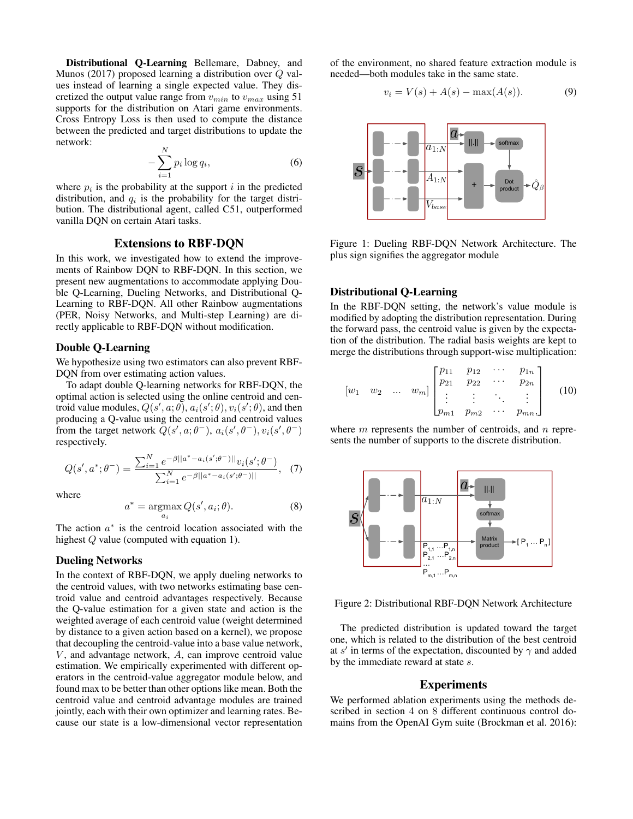Distributional Q-Learning Bellemare, Dabney, and Munos (2017) proposed learning a distribution over Q values instead of learning a single expected value. They discretized the output value range from  $v_{min}$  to  $v_{max}$  using 51 supports for the distribution on Atari game environments. Cross Entropy Loss is then used to compute the distance between the predicted and target distributions to update the network:

$$
-\sum_{i=1}^{N} p_i \log q_i, \tag{6}
$$

where  $p_i$  is the probability at the support i in the predicted distribution, and  $q_i$  is the probability for the target distribution. The distributional agent, called C51, outperformed vanilla DQN on certain Atari tasks.

## Extensions to RBF-DQN

In this work, we investigated how to extend the improvements of Rainbow DQN to RBF-DQN. In this section, we present new augmentations to accommodate applying Double Q-Learning, Dueling Networks, and Distributional Q-Learning to RBF-DQN. All other Rainbow augmentations (PER, Noisy Networks, and Multi-step Learning) are directly applicable to RBF-DQN without modification.

## Double Q-Learning

We hypothesize using two estimators can also prevent RBF-DQN from over estimating action values.

To adapt double Q-learning networks for RBF-DQN, the optimal action is selected using the online centroid and centroid value modules,  $Q(s', a; \theta), a_i(s'; \theta), v_i(s'; \theta)$ , and then producing a Q-value using the centroid and centroid values from the target network  $Q(s', a; \theta^{-}), a_i(s', \theta^{-}), v_i(s', \theta^{-})$ respectively.

$$
Q(s', a^*; \theta^-) = \frac{\sum_{i=1}^N e^{-\beta ||a^* - a_i(s'; \theta^-) ||} v_i(s'; \theta^-)}{\sum_{i=1}^N e^{-\beta ||a^* - a_i(s'; \theta^-) ||}}, \quad (7)
$$

where

$$
a^* = \underset{a_i}{\operatorname{argmax}} Q(s', a_i; \theta). \tag{8}
$$

The action  $a^*$  is the centroid location associated with the highest Q value (computed with equation 1).

## Dueling Networks

In the context of RBF-DQN, we apply dueling networks to the centroid values, with two networks estimating base centroid value and centroid advantages respectively. Because the Q-value estimation for a given state and action is the weighted average of each centroid value (weight determined by distance to a given action based on a kernel), we propose that decoupling the centroid-value into a base value network,  $V$ , and advantage network,  $A$ , can improve centroid value estimation. We empirically experimented with different operators in the centroid-value aggregator module below, and found max to be better than other options like mean. Both the centroid value and centroid advantage modules are trained jointly, each with their own optimizer and learning rates. Because our state is a low-dimensional vector representation

of the environment, no shared feature extraction module is needed—both modules take in the same state.

$$
v_i = V(s) + A(s) - \max(A(s)).
$$
 (9)



Figure 1: Dueling RBF-DQN Network Architecture. The plus sign signifies the aggregator module

## Distributional Q-Learning

In the RBF-DQN setting, the network's value module is modified by adopting the distribution representation. During the forward pass, the centroid value is given by the expectation of the distribution. The radial basis weights are kept to merge the distributions through support-wise multiplication:

$$
\begin{bmatrix} w_1 & w_2 & \dots & w_m \end{bmatrix} \begin{bmatrix} p_{11} & p_{12} & \cdots & p_{1n} \\ p_{21} & p_{22} & \cdots & p_{2n} \\ \vdots & \vdots & \ddots & \vdots \\ p_{m1} & p_{m2} & \cdots & p_{mn} \end{bmatrix}
$$
 (10)

where  $m$  represents the number of centroids, and  $n$  represents the number of supports to the discrete distribution.



Figure 2: Distributional RBF-DQN Network Architecture

The predicted distribution is updated toward the target one, which is related to the distribution of the best centroid at s' in terms of the expectation, discounted by  $\gamma$  and added by the immediate reward at state s.

### Experiments

We performed ablation experiments using the methods described in section 4 on 8 different continuous control domains from the OpenAI Gym suite (Brockman et al. 2016):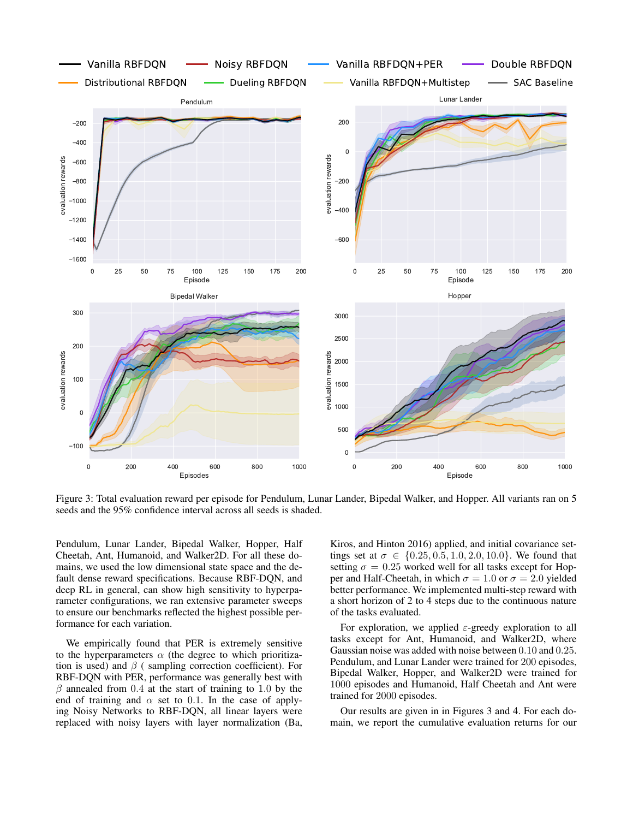

Figure 3: Total evaluation reward per episode for Pendulum, Lunar Lander, Bipedal Walker, and Hopper. All variants ran on 5 seeds and the 95% confidence interval across all seeds is shaded.

Pendulum, Lunar Lander, Bipedal Walker, Hopper, Half Cheetah, Ant, Humanoid, and Walker2D. For all these domains, we used the low dimensional state space and the default dense reward specifications. Because RBF-DQN, and deep RL in general, can show high sensitivity to hyperparameter configurations, we ran extensive parameter sweeps to ensure our benchmarks reflected the highest possible performance for each variation.

We empirically found that PER is extremely sensitive to the hyperparameters  $\alpha$  (the degree to which prioritization is used) and  $\beta$  ( sampling correction coefficient). For RBF-DQN with PER, performance was generally best with  $\beta$  annealed from 0.4 at the start of training to 1.0 by the end of training and  $\alpha$  set to 0.1. In the case of applying Noisy Networks to RBF-DQN, all linear layers were replaced with noisy layers with layer normalization (Ba,

Kiros, and Hinton 2016) applied, and initial covariance settings set at  $\sigma \in \{0.25, 0.5, 1.0, 2.0, 10.0\}$ . We found that setting  $\sigma = 0.25$  worked well for all tasks except for Hopper and Half-Cheetah, in which  $\sigma = 1.0$  or  $\sigma = 2.0$  yielded better performance. We implemented multi-step reward with a short horizon of 2 to 4 steps due to the continuous nature of the tasks evaluated.

For exploration, we applied  $\varepsilon$ -greedy exploration to all tasks except for Ant, Humanoid, and Walker2D, where Gaussian noise was added with noise between 0.10 and 0.25. Pendulum, and Lunar Lander were trained for 200 episodes, Bipedal Walker, Hopper, and Walker2D were trained for 1000 episodes and Humanoid, Half Cheetah and Ant were trained for 2000 episodes.

Our results are given in in Figures 3 and 4. For each domain, we report the cumulative evaluation returns for our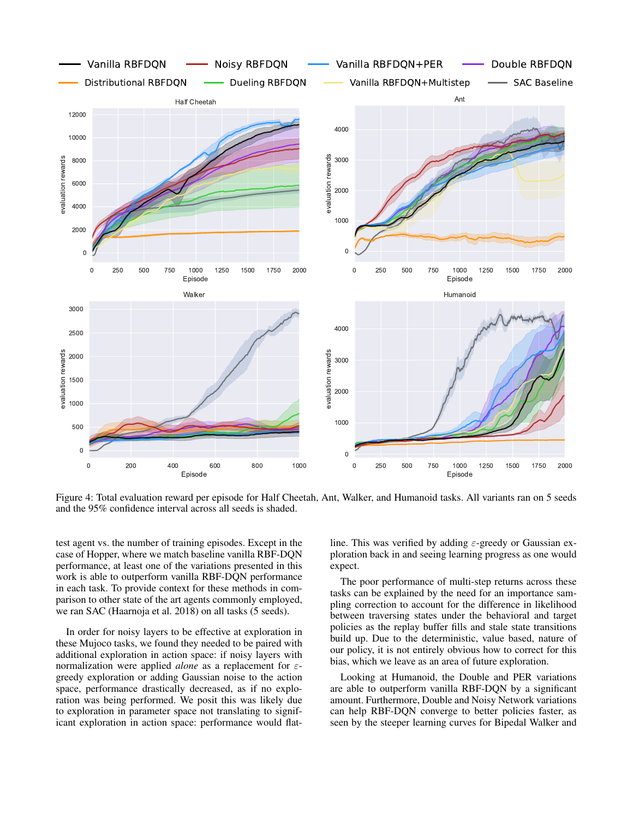

Figure 4: Total evaluation reward per episode for Half Cheetah, Ant, Walker, and Humanoid tasks. All variants ran on 5 seeds and the 95% confidence interval across all seeds is shaded.

test agent vs. the number of training episodes. Except in the case of Hopper, where we match baseline vanilla RBF-DQN performance, at least one of the variations presented in this work is able to outperform vanilla RBF-DQN performance in each task. To provide context for these methods in comparison to other state of the art agents commonly employed, we ran SAC (Haarnoja et al. 2018) on all tasks (5 seeds).

In order for noisy layers to be effective at exploration in these Mujoco tasks, we found they needed to be paired with additional exploration in action space: if noisy layers with normalization were applied *alone* as a replacement for εgreedy exploration or adding Gaussian noise to the action space, performance drastically decreased, as if no exploration was being performed. We posit this was likely due to exploration in parameter space not translating to significant exploration in action space: performance would flatline. This was verified by adding  $\varepsilon$ -greedy or Gaussian exploration back in and seeing learning progress as one would expect.

The poor performance of multi-step returns across these tasks can be explained by the need for an importance sampling correction to account for the difference in likelihood between traversing states under the behavioral and target policies as the replay buffer fills and stale state transitions build up. Due to the deterministic, value based, nature of our policy, it is not entirely obvious how to correct for this bias, which we leave as an area of future exploration.

Looking at Humanoid, the Double and PER variations are able to outperform vanilla RBF-DQN by a significant amount. Furthermore, Double and Noisy Network variations can help RBF-DQN converge to better policies faster, as seen by the steeper learning curves for Bipedal Walker and